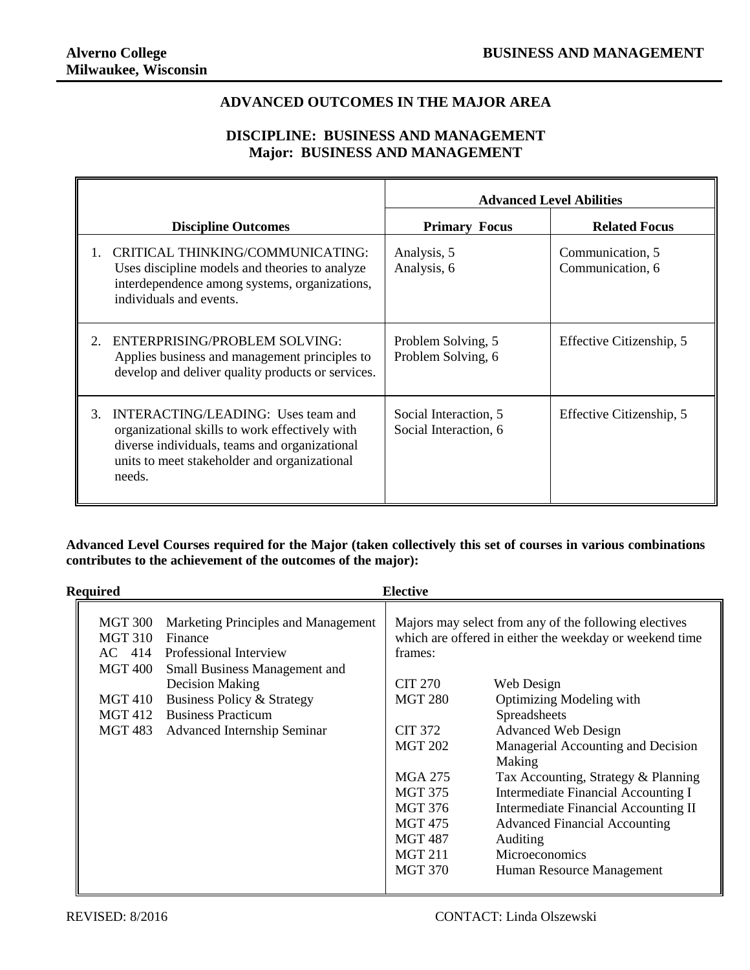$\overline{\mathbf{u}}$ 

## **ADVANCED OUTCOMES IN THE MAJOR AREA**

## **DISCIPLINE: BUSINESS AND MANAGEMENT Major: BUSINESS AND MANAGEMENT**

|                                                                                                                                                                                                       | <b>Advanced Level Abilities</b>                |                                      |  |
|-------------------------------------------------------------------------------------------------------------------------------------------------------------------------------------------------------|------------------------------------------------|--------------------------------------|--|
| <b>Discipline Outcomes</b>                                                                                                                                                                            | <b>Primary Focus</b>                           | <b>Related Focus</b>                 |  |
| CRITICAL THINKING/COMMUNICATING:<br>Uses discipline models and theories to analyze<br>interdependence among systems, organizations,<br>individuals and events.                                        | Analysis, 5<br>Analysis, 6                     | Communication, 5<br>Communication, 6 |  |
| ENTERPRISING/PROBLEM SOLVING:<br>Applies business and management principles to<br>develop and deliver quality products or services.                                                                   | Problem Solving, 5<br>Problem Solving, 6       | Effective Citizenship, 5             |  |
| 3.<br>INTERACTING/LEADING: Uses team and<br>organizational skills to work effectively with<br>diverse individuals, teams and organizational<br>units to meet stakeholder and organizational<br>needs. | Social Interaction, 5<br>Social Interaction, 6 | Effective Citizenship, 5             |  |

**Advanced Level Courses required for the Major (taken collectively this set of courses in various combinations contributes to the achievement of the outcomes of the major):**

| <b>Required</b>    | <b>Elective</b>                                                                                                          |                                                                                                                             |                                              |  |  |
|--------------------|--------------------------------------------------------------------------------------------------------------------------|-----------------------------------------------------------------------------------------------------------------------------|----------------------------------------------|--|--|
| MGT 310<br>MGT 400 | MGT 300 Marketing Principles and Management<br>Finance<br>AC 414 Professional Interview<br>Small Business Management and | Majors may select from any of the following electives<br>which are offered in either the weekday or weekend time<br>frames: |                                              |  |  |
|                    | Decision Making                                                                                                          | <b>CIT 270</b>                                                                                                              | Web Design                                   |  |  |
| MGT 410            | Business Policy & Strategy                                                                                               | <b>MGT 280</b>                                                                                                              | Optimizing Modeling with                     |  |  |
|                    | MGT 412 Business Practicum                                                                                               |                                                                                                                             | Spreadsheets                                 |  |  |
|                    | MGT 483 Advanced Internship Seminar                                                                                      | <b>CIT 372</b>                                                                                                              | <b>Advanced Web Design</b>                   |  |  |
|                    |                                                                                                                          | <b>MGT 202</b>                                                                                                              | Managerial Accounting and Decision<br>Making |  |  |
|                    |                                                                                                                          | MGA 275                                                                                                                     | Tax Accounting, Strategy & Planning          |  |  |
|                    |                                                                                                                          | <b>MGT 375</b>                                                                                                              | Intermediate Financial Accounting I          |  |  |
|                    |                                                                                                                          | <b>MGT 376</b>                                                                                                              | Intermediate Financial Accounting II         |  |  |
|                    |                                                                                                                          | MGT 475                                                                                                                     | <b>Advanced Financial Accounting</b>         |  |  |
|                    |                                                                                                                          | MGT 487                                                                                                                     | Auditing                                     |  |  |
|                    |                                                                                                                          | <b>MGT 211</b>                                                                                                              | Microeconomics                               |  |  |
|                    |                                                                                                                          | <b>MGT 370</b>                                                                                                              | Human Resource Management                    |  |  |